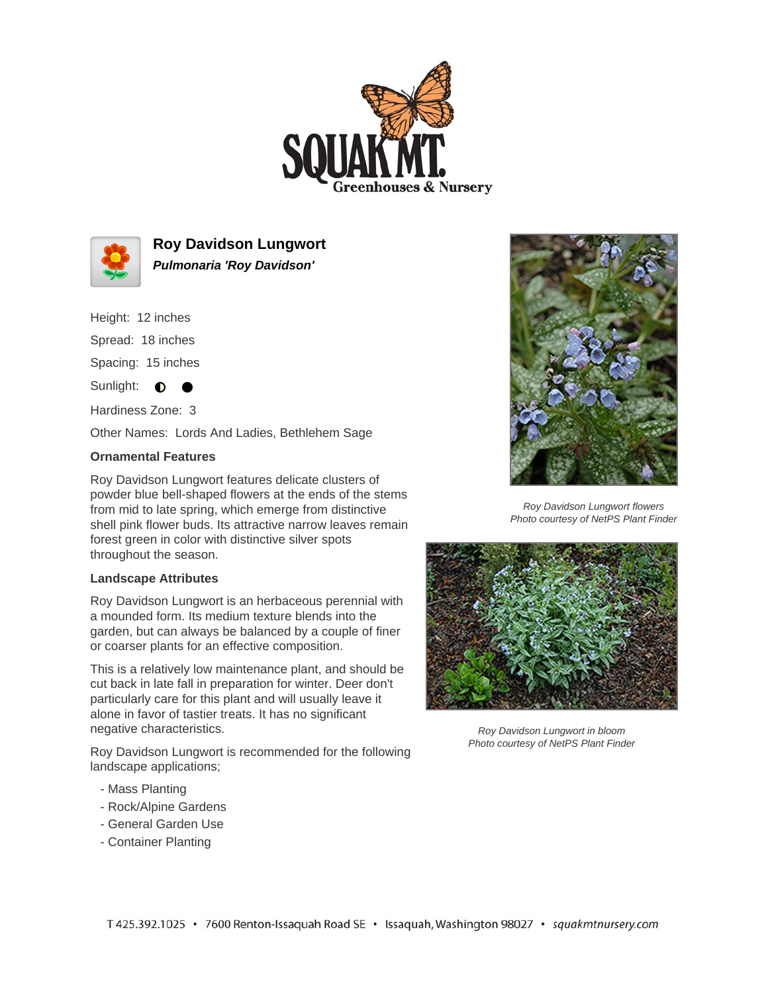



**Roy Davidson Lungwort Pulmonaria 'Roy Davidson'**

Height: 12 inches

Spread: 18 inches

Spacing: 15 inches

 $\bullet$ 

Sunlight:  $\bullet$ 

Hardiness Zone: 3

Other Names: Lords And Ladies, Bethlehem Sage

## **Ornamental Features**

Roy Davidson Lungwort features delicate clusters of powder blue bell-shaped flowers at the ends of the stems from mid to late spring, which emerge from distinctive shell pink flower buds. Its attractive narrow leaves remain forest green in color with distinctive silver spots throughout the season.

## **Landscape Attributes**

Roy Davidson Lungwort is an herbaceous perennial with a mounded form. Its medium texture blends into the garden, but can always be balanced by a couple of finer or coarser plants for an effective composition.

This is a relatively low maintenance plant, and should be cut back in late fall in preparation for winter. Deer don't particularly care for this plant and will usually leave it alone in favor of tastier treats. It has no significant negative characteristics.

Roy Davidson Lungwort is recommended for the following landscape applications;

- Mass Planting
- Rock/Alpine Gardens
- General Garden Use
- Container Planting



Roy Davidson Lungwort flowers Photo courtesy of NetPS Plant Finder



Roy Davidson Lungwort in bloom Photo courtesy of NetPS Plant Finder